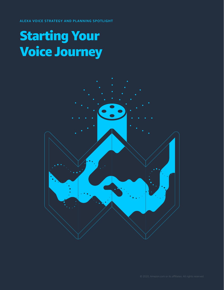ALEXA VOICE STRATEGY AND PLANNING SPOTLIGHT

# Starting Your Voice Journey

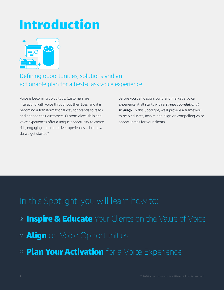# Introduction



# Defining opportunities, solutions and an actionable plan for a best-class voice experience

Voice is becoming ubiquitous. Customers are interacting with voice throughout their lives, and it is becoming a transformational way for brands to reach and engage their customers. Custom Alexa skills and voice experiences offer a unique opportunity to create rich, engaging and immersive experiences… but how do we get started?

Before you can design, build and market a voice experience, it all starts with a *strong foundational strategy.* In this Spotlight, we'll provide a framework to help educate, inspire and align on compelling voice opportunities for your clients.

- **<sup>⊘</sup> Inspire & Educate** Your Clients on the Value of Voice
- **<sup>⊘</sup> Align** on Voice Opportunities
- **<sup>⊗</sup> Plan Your Activation** for a Voice Experience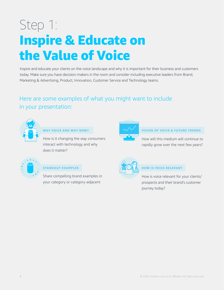# Step 1: Inspire & Educate on the Value of Voice

Inspire and educate your clients on the voice landscape and why it is important for their business and customers today. Make sure you have decision-makers in the room and consider including executive leaders from Brand, Marketing & Advertising, Product, Innovation, Customer Service and Technology teams.

## Here are some examples of what you might want to include in your presentation:



### **WHY VOICE AND WHY NOW?**

How is it changing the way consumers interact with technology and why does it matter?



### **STANDOUT EXAMPLES**

Share compelling brand examples in your category or category-adjacent



### **VISION OF VOICE & FUTURE TRENDS**

How will this medium will continue to rapidly grow over the next few years?



#### **HOW IS VOICE RELEVANT**

How is voice relevant for your clients/ prospects and their brand's customer journey today?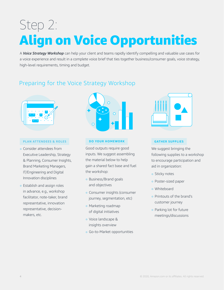# Step 2: Align on Voice Opportunities

A *Voice Strategy Workshop* can help your client and teams rapidly identify compelling and valuable use cases for a voice experience and result in a complete voice brief that ties together business/consumer goals, voice strategy, high-level requirements, timing and budget.

## Preparing for the Voice Strategy Workshop



#### **PLAN ATTENDEES & ROLES**

- ° Consider attendees from Executive Leadership, Strategy & Planning, Consumer Insights, Brand Marketing Managers, IT/Engineering and Digital Innovation disciplines
- ° Establish and assign roles in advance, e.g., workshop facilitator, note-taker, brand representative, innovation representative, decisionmakers, etc.



#### **DO YOUR HOMEWORK**

Good outputs require good inputs. We suggest assembling the material below to help gain a shared fact base and fuel the workshop:

- ° Business/Brand goals and objectives
- ° Consumer insights (consumer journey, segmentation, etc)
- ° Marketing roadmap of digital initiatives
- ° Voice landscape & insights overview
- ° Go-to-Market opportunities



#### **GATHER SUPPLIES**

We suggest bringing the following supplies to a workshop to encourage participation and aid in organization:

- **o** Sticky notes
- ° Poster-sized paper
- **o** Whiteboard
- ° Printouts of the brand's customer journey
- ° Parking lot for future meetings/discussions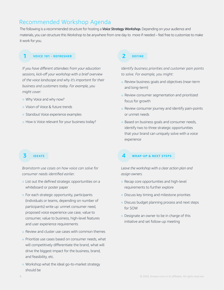## Recommended Workshop Agenda

The following is a recommended structure for hosting a *Voice Strategy Workshop.* Depending on your audience and materials, you can structure this Workshop to be anywhere from one day to more if needed – feel free to customize to make it work for you.

#### **1 VOICE 101 - REFRESHER**

*If you have different attendees from your education sessions, kick-off your workshop with a brief overview of the voice landscape and why it's important for their business and customers today. For example, you might cover:* 

- Why Voice and why now?
- ° Vision of Voice & future trends
- ° Standout Voice experience examples
- ° How is Voice relevant for your business today?

## **3 IDEATE**

*Brainstorm use cases on how voice can solve for consumer needs identified earlier.*

- ° List out the defined strategic opportunities on a whiteboard or poster paper
- ° For each strategic opportunity, participants (individuals or teams, depending on number of participants) write up: unmet consumer need, proposed voice experience use case, value to consumer, value to business, high-level features and user experience requirements
- ° Review and cluster use cases with common themes
- ° Prioritize use cases based on consumer needs, what will competitively differentiate the brand, what will drive the biggest impact for the business, brand, and feasibility, etc.
- ° Workshop what the ideal go-to-market strategy should be

### **2 DEFINE**

*Identify business priorities and customer pain points to solve. For example, you might:*

- ° Review business goals and objectives (near-term and long-term)
- ° Review consumer segmentation and prioritized focus for growth
- ° Review consumer journey and identify pain-points or unmet needs
- ° Based on business goals and consumer needs, identify two to three strategic opportunities that your brand can uniquely solve with a voice experience

#### **4 WRAP-UP & NEXT STEPS**

*Leave the workshop with a clear action plan and assign owners.*

- ° Recap core opportunities and high-level requirements to further explore
- ° Discuss key timing and milestone priorities
- ° Discuss budget planning process and next steps for SOW
- ° Designate an owner to be in charge of this initiative and set follow-up meeting